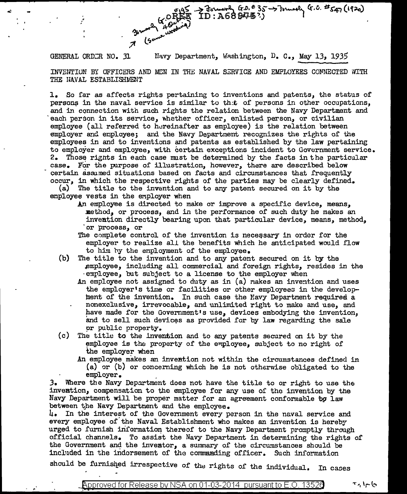$G \times 45$  as the contract of  $0.6835$  by the contract of  $0.245$  (1920) Company (CO)

GENERAL ORDER NO. 31 Mavy Department, Washington, D. C., May 13, 1935 INVENTION BY OFFICERS AND MCN IN THE NAVAL SERVICE AND EMPLOYEES CONNECTED WITH THE NAVAL ESTABLISHMENT

l. So far as affects rights pertaining to inventions and patents, the status of persons in the naval service is similar to that of persons in other occupations, and in connection with such rights the relation between *the* Navy Department and each person in its service, whether officer, enlisted person, or civilian employee (all referred to hereinafter as employee) is the relation between employer and employee; and the Navy Department recognizes the rights of the employees in and to inventions and patents as established by the law pertaining to employer and employee, with certain exceptions incident to Government service. 2. Those rignts in each case must be determined by the facts in the particular case. For the purpose of illustration, however, there are described below certain asaimed situations based on facts and circumstances that frequently occur, in which the respective rights of the parties may be clearly defined.

(a) The title to the invention and to any patent secured on it by the employee vests in the employer when

- An employee is directed to make or improve a specific device, means, method, or process, and in the performance of such duty he makes an inveation directly bearing upon that particular device, means, method, ·or process, or
- The complete control of the invention is necessary in order for the employer to realize all the benefits which he anticipated would flow to him by the employment of the employee.
- (b} The title to the invention and to any patent secured on it by the employee, including all commercial and foreign rights, resides in the ·employee, but subject to a license to the employer when
	- An employee not assigned to duty as in  $(a)$  makes an invention and uses the employer's time or facilities or other employees in the development of the invention. In such case the Navy Department required a nonexclusive, irrevocable, and unlimited right to make and use, and have made for the Government's use, devices embodying the invention, and to sell such devices as provided for by law regarding the sale pr public property.
- $(c)$  The title to the invention and to any patents secured on it by the employee is the property of the employee, subject to no right of the employer when
	- An employee makes an invention not within the circumstances defined in (a) or (b) or concerning vmich he is not otherwise obligated to the employer. .

3. Where the Navy Department does not have the title to or right to use the investion, compensation to the employee for any use of tho invention by the Navy Department will be proper matter for an agreement conformable by law between the Navy Department and the employee.

 $\mu_{\bullet}$  In the interest of the Government every person in the naval service and every employee of the Naval Establishment who makes an invention is hereby urged to furnish information thereof to the Navy Department promptly through official channels. To assist the Navy Department in determinine the rights of the Government and the inventor, a summary of the circumstances should be included in the indorsement of the commanding officer. Such information

should be furnished irrespective of the rights of the individual. In cases

حاجرا برح